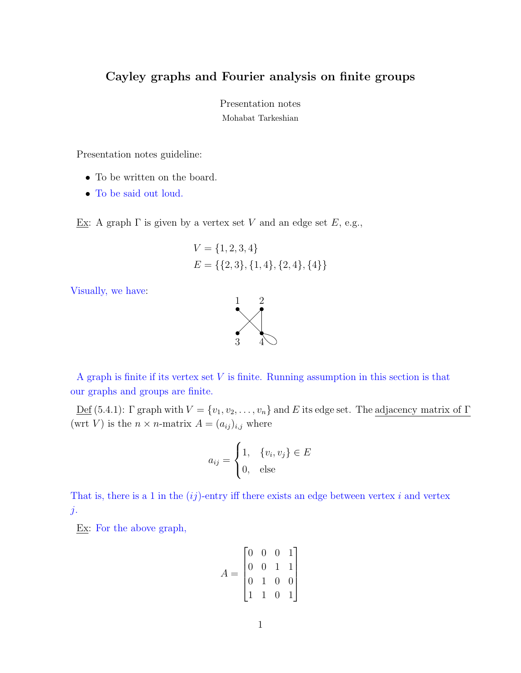## Cayley graphs and Fourier analysis on finite groups

Presentation notes Mohabat Tarkeshian

Presentation notes guideline:

- To be written on the board.
- To be said out loud.

Ex: A graph Γ is given by a vertex set V and an edge set  $E$ , e.g.,

$$
V = \{1, 2, 3, 4\}
$$
  

$$
E = \{\{2, 3\}, \{1, 4\}, \{2, 4\}, \{4\}\}\
$$

Visually, we have:



3 4

1 2

<u>Def</u> (5.4.1): Γ graph with  $V = \{v_1, v_2, \ldots, v_n\}$  and E its edge set. The <u>adjacency matrix of Γ</u> (wrt V) is the  $n \times n$ -matrix  $A = (a_{ij})_{i,j}$  where

$$
a_{ij} = \begin{cases} 1, & \{v_i, v_j\} \in E \\ 0, & \text{else} \end{cases}
$$

That is, there is a 1 in the  $(ij)$ -entry iff there exists an edge between vertex i and vertex j.

Ex: For the above graph,

$$
A = \begin{bmatrix} 0 & 0 & 0 & 1 \\ 0 & 0 & 1 & 1 \\ 0 & 1 & 0 & 0 \\ 1 & 1 & 0 & 1 \end{bmatrix}
$$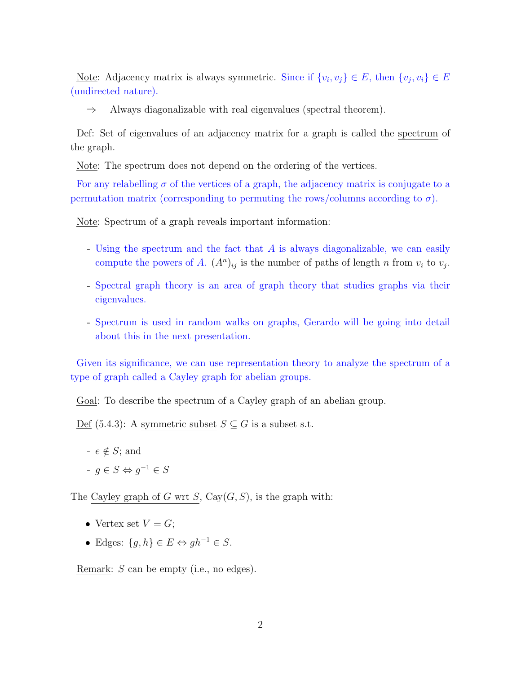<u>Note</u>: Adjacency matrix is always symmetric. Since if  $\{v_i, v_j\} \in E$ , then  $\{v_j, v_i\} \in E$ (undirected nature).

 $\Rightarrow$  Always diagonalizable with real eigenvalues (spectral theorem).

Def: Set of eigenvalues of an adjacency matrix for a graph is called the spectrum of the graph.

Note: The spectrum does not depend on the ordering of the vertices.

For any relabelling  $\sigma$  of the vertices of a graph, the adjacency matrix is conjugate to a permutation matrix (corresponding to permuting the rows/columns according to  $\sigma$ ).

Note: Spectrum of a graph reveals important information:

- Using the spectrum and the fact that A is always diagonalizable, we can easily compute the powers of A.  $(A^n)_{ij}$  is the number of paths of length n from  $v_i$  to  $v_j$ .
- Spectral graph theory is an area of graph theory that studies graphs via their eigenvalues.
- Spectrum is used in random walks on graphs, Gerardo will be going into detail about this in the next presentation.

Given its significance, we can use representation theory to analyze the spectrum of a type of graph called a Cayley graph for abelian groups.

Goal: To describe the spectrum of a Cayley graph of an abelian group.

 $Def (5.4.3):$  A symmetric subset  $S \subseteq G$  is a subset s.t.

- $-e \notin S$ ; and
- $-g \in S \Leftrightarrow g^{-1} \in S$

The Cayley graph of G wrt S, Cay $(G, S)$ , is the graph with:

- Vertex set  $V = G$ ;
- Edges:  $\{g, h\} \in E \Leftrightarrow gh^{-1} \in S$ .

Remark: S can be empty (i.e., no edges).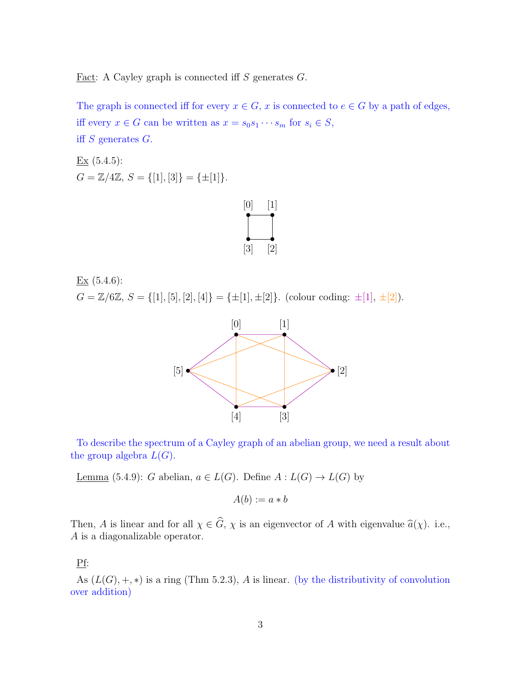Fact: A Cayley graph is connected iff  $S$  generates  $G$ .

The graph is connected iff for every  $x \in G$ , x is connected to  $e \in G$  by a path of edges, iff every  $x \in G$  can be written as  $x = s_0 s_1 \cdots s_m$  for  $s_i \in S$ , iff S generates G.

Ex (5.4.5):  $G = \mathbb{Z}/4\mathbb{Z}, S = \{[1], [3]\} = \{\pm [1]\}.$ 



 $Ex(5.4.6):$  $G = \mathbb{Z}/6\mathbb{Z}, S = \{[1], [5], [2], [4]\} = \{\pm [1], \pm [2]\}.$  (colour coding:  $\pm [1], \pm [2]$ ).



To describe the spectrum of a Cayley graph of an abelian group, we need a result about the group algebra  $L(G)$ .

Lemma (5.4.9): G abelian,  $a \in L(G)$ . Define  $A: L(G) \to L(G)$  by

$$
A(b) := a * b
$$

Then, A is linear and for all  $\chi \in \widehat{G}$ ,  $\chi$  is an eigenvector of A with eigenvalue  $\widehat{a}(\chi)$ . i.e., A is a diagonalizable operator.

## Pf:

As  $(L(G), +, *)$  is a ring (Thm 5.2.3), A is linear. (by the distributivity of convolution over addition)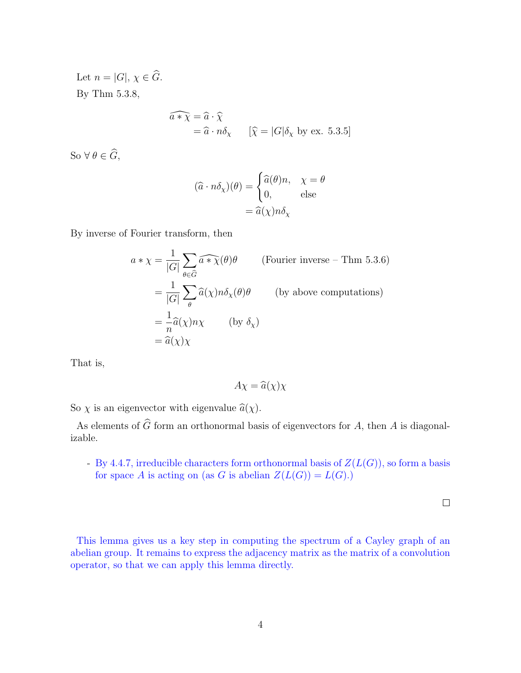Let  $n = |G|, \chi \in \widehat{G}$ . By Thm 5.3.8,

$$
\widehat{a * \chi} = \widehat{a} \cdot \widehat{\chi}
$$
  
=  $\widehat{a} \cdot n \delta_{\chi}$  [ $\widehat{\chi} = |G| \delta_{\chi}$  by ex. 5.3.5]

So  $\forall \theta \in \widehat{G},$ 

$$
(\widehat{a} \cdot n\delta_{\chi})(\theta) = \begin{cases} \widehat{a}(\theta)n, & \chi = \theta \\ 0, & \text{else} \end{cases}
$$

$$
= \widehat{a}(\chi)n\delta_{\chi}
$$

By inverse of Fourier transform, then

$$
a * \chi = \frac{1}{|G|} \sum_{\theta \in \widehat{G}} \widehat{a * \chi}(\theta) \theta \qquad \text{(Fourier inverse - Thm 5.3.6)}
$$
  
= 
$$
\frac{1}{|G|} \sum_{\theta} \widehat{a}(\chi) n \delta_{\chi}(\theta) \theta \qquad \text{(by above computations)}
$$
  
= 
$$
\frac{1}{n} \widehat{a}(\chi) n \chi \qquad \text{(by } \delta_{\chi})
$$
  
= 
$$
\widehat{a}(\chi) \chi
$$

That is,

$$
A\chi = \widehat{a}(\chi)\chi
$$

So  $\chi$  is an eigenvector with eigenvalue  $\hat{a}(\chi)$ .

As elements of  $\widehat{G}$  form an orthonormal basis of eigenvectors for A, then A is diagonalizable.

- By 4.4.7, irreducible characters form orthonormal basis of  $Z(L(G))$ , so form a basis for space A is acting on (as G is abelian  $Z(L(G)) = L(G)$ .)

 $\Box$ 

This lemma gives us a key step in computing the spectrum of a Cayley graph of an abelian group. It remains to express the adjacency matrix as the matrix of a convolution operator, so that we can apply this lemma directly.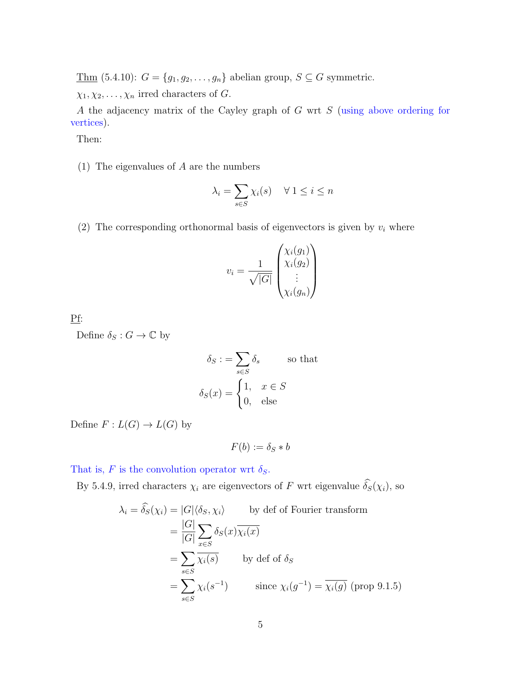Thm (5.4.10):  $G = \{g_1, g_2, \ldots, g_n\}$  abelian group,  $S \subseteq G$  symmetric.

 $\chi_1, \chi_2, \ldots, \chi_n$  irred characters of G.

A the adjacency matrix of the Cayley graph of G wrt S (using above ordering for vertices).

Then:

(1) The eigenvalues of A are the numbers

$$
\lambda_i = \sum_{s \in S} \chi_i(s) \quad \forall \ 1 \le i \le n
$$

(2) The corresponding orthonormal basis of eigenvectors is given by  $v_i$  where

$$
v_i = \frac{1}{\sqrt{|G|}} \begin{pmatrix} \chi_i(g_1) \\ \chi_i(g_2) \\ \vdots \\ \chi_i(g_n) \end{pmatrix}
$$

Pf:

Define  $\delta_S: G \to \mathbb{C}$  by

$$
\delta_S := \sum_{s \in S} \delta_s \qquad \text{so that}
$$

$$
\delta_S(x) = \begin{cases} 1, & x \in S \\ 0, & \text{else} \end{cases}
$$

Define  $F: L(G) \to L(G)$  by

$$
F(b) := \delta_S * b
$$

That is, F is the convolution operator wrt  $\delta_S$ .

By 5.4.9, irred characters  $\chi_i$  are eigenvectors of F wrt eigenvalue  $\widehat{\delta_S}(\chi_i)$ , so

$$
\lambda_i = \hat{\delta_S}(\chi_i) = |G| \langle \delta_S, \chi_i \rangle \qquad \text{by def of Fourier transform}
$$
  
\n
$$
= \frac{|G|}{|G|} \sum_{x \in S} \delta_S(x) \overline{\chi_i(x)}
$$
  
\n
$$
= \sum_{s \in S} \overline{\chi_i(s)} \qquad \text{by def of } \delta_S
$$
  
\n
$$
= \sum_{s \in S} \chi_i(s^{-1}) \qquad \text{since } \chi_i(g^{-1}) = \overline{\chi_i(g)} \text{ (prop 9.1.5)}
$$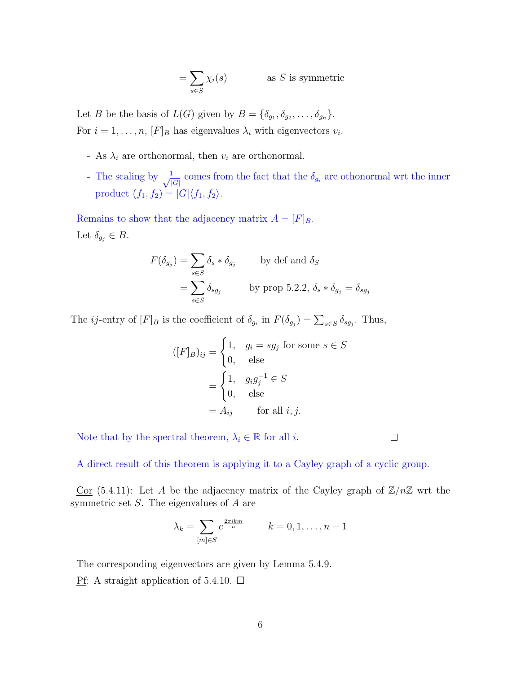$$
= \sum_{s \in S} \chi_i(s) \qquad \qquad \text{as } S \text{ is symmetric}
$$

Let B be the basis of  $L(G)$  given by  $B = \{\delta_{g_1}, \delta_{g_2}, \ldots, \delta_{g_n}\}.$ For  $i = 1, \ldots, n$ ,  $[F]_B$  has eigenvalues  $\lambda_i$  with eigenvectors  $v_i$ .

- As  $\lambda_i$  are orthonormal, then  $v_i$  are orthonormal.
- The scaling by  $\frac{1}{\sqrt{2}}$  $\frac{1}{|G|}$  comes from the fact that the  $\delta_{g_i}$  are othonormal wrt the inner product  $(f_1, f_2) = |G| \langle f_1, f_2 \rangle$ .

Remains to show that the adjacency matrix  $A = [F]_B$ . Let  $\delta_{g_j} \in B$ .

$$
F(\delta_{g_j}) = \sum_{s \in S} \delta_s * \delta_{g_j} \qquad \text{by def and } \delta_S
$$
  
= 
$$
\sum_{s \in S} \delta_{sg_j} \qquad \text{by prop 5.2.2, } \delta_s * \delta_{g_j} = \delta_{sg_j}
$$

The *ij*-entry of  $[F]_B$  is the coefficient of  $\delta_{g_i}$  in  $F(\delta_{g_j}) = \sum_{s \in S} \delta_{sg_j}$ . Thus,

$$
([F]_B)_{ij} = \begin{cases} 1, & g_i = sg_j \text{ for some } s \in S \\ 0, & \text{else} \end{cases}
$$

$$
= \begin{cases} 1, & g_i g_j^{-1} \in S \\ 0, & \text{else} \end{cases}
$$

$$
= A_{ij} \qquad \text{for all } i, j.
$$

Note that by the spectral theorem,  $\lambda_i \in \mathbb{R}$  for all *i*.

 $\Box$ 

A direct result of this theorem is applying it to a Cayley graph of a cyclic group.

Cor (5.4.11): Let A be the adjacency matrix of the Cayley graph of  $\mathbb{Z}/n\mathbb{Z}$  wrt the symmetric set  $S$ . The eigenvalues of  $A$  are

$$
\lambda_k = \sum_{[m] \in S} e^{\frac{2\pi i k m}{n}} \qquad k = 0, 1, \dots, n-1
$$

The corresponding eigenvectors are given by Lemma 5.4.9.

Pf: A straight application of 5.4.10.  $\Box$